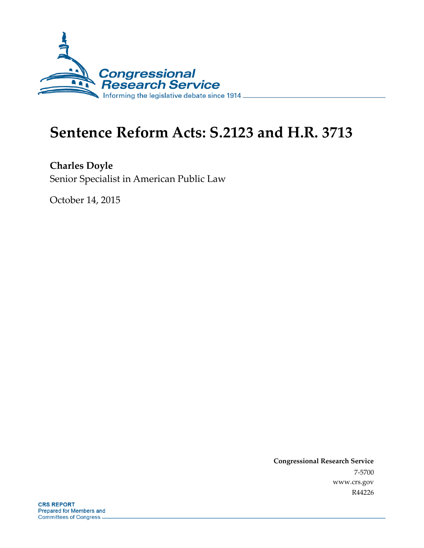

# **Sentence Reform Acts: S.2123 and H.R. 3713**

**Charles Doyle** Senior Specialist in American Public Law

October 14, 2015

**Congressional Research Service** 7-5700 www.crs.gov R44226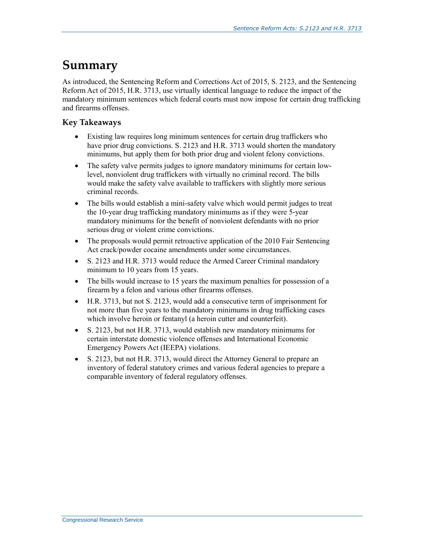## **Summary**

As introduced, the Sentencing Reform and Corrections Act of 2015, S. 2123, and the Sentencing Reform Act of 2015, H.R. 3713, use virtually identical language to reduce the impact of the mandatory minimum sentences which federal courts must now impose for certain drug trafficking and firearms offenses.

### **Key Takeaways**

- Existing law requires long minimum sentences for certain drug traffickers who have prior drug convictions. S. 2123 and H.R. 3713 would shorten the mandatory minimums, but apply them for both prior drug and violent felony convictions.
- The safety valve permits judges to ignore mandatory minimums for certain lowlevel, nonviolent drug traffickers with virtually no criminal record. The bills would make the safety valve available to traffickers with slightly more serious criminal records.
- The bills would establish a mini-safety valve which would permit judges to treat the 10-year drug trafficking mandatory minimums as if they were 5-year mandatory minimums for the benefit of nonviolent defendants with no prior serious drug or violent crime convictions.
- The proposals would permit retroactive application of the 2010 Fair Sentencing Act crack/powder cocaine amendments under some circumstances.
- S. 2123 and H.R. 3713 would reduce the Armed Career Criminal mandatory minimum to 10 years from 15 years.
- The bills would increase to 15 years the maximum penalties for possession of a firearm by a felon and various other firearms offenses.
- H.R. 3713, but not S. 2123, would add a consecutive term of imprisonment for not more than five years to the mandatory minimums in drug trafficking cases which involve heroin or fentanyl (a heroin cutter and counterfeit).
- S. 2123, but not H.R. 3713, would establish new mandatory minimums for certain interstate domestic violence offenses and International Economic Emergency Powers Act (IEEPA) violations.
- S. 2123, but not H.R. 3713, would direct the Attorney General to prepare an inventory of federal statutory crimes and various federal agencies to prepare a comparable inventory of federal regulatory offenses.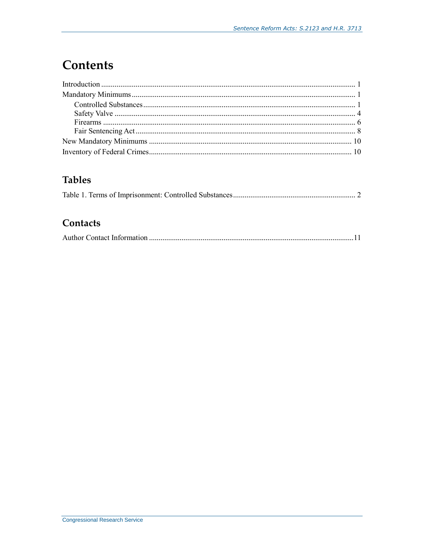## **Contents**

## **Tables**

## Contacts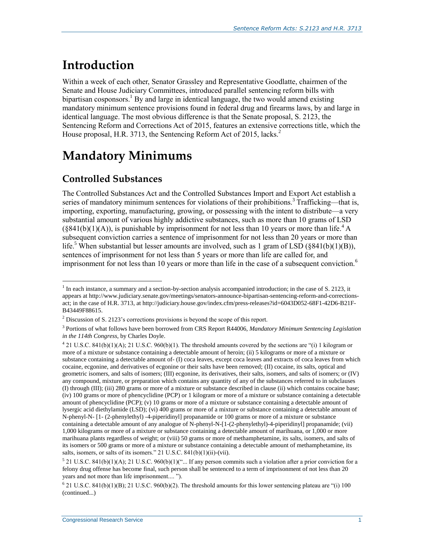## **Introduction**

Within a week of each other, Senator Grassley and Representative Goodlatte, chairmen of the Senate and House Judiciary Committees, introduced parallel sentencing reform bills with bipartisan cosponsors.<sup>1</sup> By and large in identical language, the two would amend existing mandatory minimum sentence provisions found in federal drug and firearms laws, by and large in identical language. The most obvious difference is that the Senate proposal, S. 2123, the Sentencing Reform and Corrections Act of 2015, features an extensive corrections title, which the House proposal, H.R. 3713, the Sentencing Reform Act of 2015, lacks.<sup>2</sup>

## **Mandatory Minimums**

### **Controlled Substances**

 $\overline{a}$ 

The Controlled Substances Act and the Controlled Substances Import and Export Act establish a series of mandatory minimum sentences for violations of their prohibitions.<sup>3</sup> Trafficking—that is, importing, exporting, manufacturing, growing, or possessing with the intent to distribute—a very substantial amount of various highly addictive substances, such as more than 10 grams of LSD  $(\S 841(b)(1)(A))$ , is punishable by imprisonment for not less than 10 years or more than life.<sup>4</sup> A subsequent conviction carries a sentence of imprisonment for not less than 20 years or more than life.<sup>5</sup> When substantial but lesser amounts are involved, such as 1 gram of LSD (§841(b)(1)(B)), sentences of imprisonment for not less than 5 years or more than life are called for, and imprisonment for not less than 10 years or more than life in the case of a subsequent conviction.<sup>6</sup>

<sup>&</sup>lt;sup>1</sup> In each instance, a summary and a section-by-section analysis accompanied introduction; in the case of S. 2123, it appears at http://www.judiciary.senate.gov/meetings/senators-announce-bipartisan-sentencing-reform-and-correctionsact; in the case of H.R. 3713, at http://judiciary.house.gov/index.cfm/press-releases?id=6043D052-68F1-42D6-B21F-B43449F88615.

<sup>2</sup> Discussion of S. 2123's corrections provisions is beyond the scope of this report.

<sup>3</sup> Portions of what follows have been borrowed from CRS Report R44006, *Mandatory Minimum Sentencing Legislation in the 114th Congress*, by Charles Doyle.

 $421$  U.S.C. 841(b)(1)(A); 21 U.S.C. 960(b)(1). The threshold amounts covered by the sections are "(i) 1 kilogram or more of a mixture or substance containing a detectable amount of heroin; (ii) 5 kilograms or more of a mixture or substance containing a detectable amount of- (I) coca leaves, except coca leaves and extracts of coca leaves from which cocaine, ecgonine, and derivatives of ecgonine or their salts have been removed; (II) cocaine, its salts, optical and geometric isomers, and salts of isomers; (III) ecgonine, its derivatives, their salts, isomers, and salts of isomers; or (IV) any compound, mixture, or preparation which contains any quantity of any of the substances referred to in subclauses (I) through (III); (iii) 280 grams or more of a mixture or substance described in clause (ii) which contains cocaine base; (iv) 100 grams or more of phencyclidine (PCP) or 1 kilogram or more of a mixture or substance containing a detectable amount of phencyclidine (PCP); (v) 10 grams or more of a mixture or substance containing a detectable amount of lysergic acid diethylamide (LSD); (vi) 400 grams or more of a mixture or substance containing a detectable amount of N-phenyl-N- [1- (2-phenylethyl) -4-piperidinyl] propanamide or 100 grams or more of a mixture or substance containing a detectable amount of any analogue of N-phenyl-N-[1-(2-phenylethyl)-4-piperidinyl] propanamide; (vii) 1,000 kilograms or more of a mixture or substance containing a detectable amount of marihuana, or 1,000 or more marihuana plants regardless of weight; or (viii) 50 grams or more of methamphetamine, its salts, isomers, and salts of its isomers or 500 grams or more of a mixture or substance containing a detectable amount of methamphetamine, its salts, isomers, or salts of its isomers." 21 U.S.C.  $841(b)(1)(ii)$ -(vii).

 $5$  21 U.S.C. 841(b)(1)(A); 21 U.S.C. 960(b)(1)("... If any person commits such a violation after a prior conviction for a felony drug offense has become final, such person shall be sentenced to a term of imprisonment of not less than 20 years and not more than life imprisonment.... ").

 $621$  U.S.C. 841(b)(1)(B); 21 U.S.C. 960(b)(2). The threshold amounts for this lower sentencing plateau are "(i) 100 (continued...)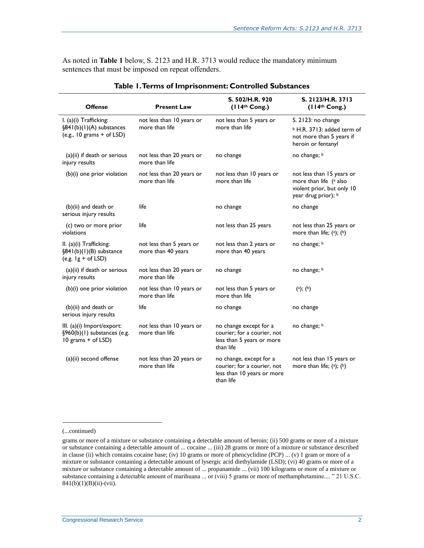As noted in **[Table 1](#page-4-0)** below, S. 2123 and H.R. 3713 would reduce the mandatory minimum sentences that must be imposed on repeat offenders.

<span id="page-4-0"></span>

| <b>Offense</b>                                                                    | <b>Present Law</b>                             | S. 502/H.R. 920<br>(114 <sup>th</sup> Cong.)                                                      | S. 2123/H.R. 3713<br>(114 <sup>th</sup> Cong.)                                                                |
|-----------------------------------------------------------------------------------|------------------------------------------------|---------------------------------------------------------------------------------------------------|---------------------------------------------------------------------------------------------------------------|
| I. (a)(i) Trafficking:<br>§841(b)(1)(A) substances<br>(e.g., $10$ grams + of LSD) | not less than 10 years or<br>more than life    | not less than 5 years or<br>more than life                                                        | S. 2123: no change<br><sup>b</sup> H.R. 3713: added term of<br>not more than 5 years if<br>heroin or fentanyl |
| (a)(ii) if death or serious<br>injury results                                     | not less than 20 years or<br>more than life    | no change                                                                                         | no change; b                                                                                                  |
| (b)(i) one prior violation                                                        | not less than 20 years or<br>more than life    | not less than 10 years or<br>more than life                                                       | not less than 15 years or<br>more than life (a also<br>violent prior, but only 10<br>year drug prior); b      |
| (b)(ii) and death or<br>serious injury results                                    | life                                           | no change                                                                                         | no change                                                                                                     |
| (c) two or more prior<br>violations                                               | life                                           | not less than 25 years                                                                            | not less than 25 years or<br>more than life; $(2)$ ; $(b)$                                                    |
| II. (a)(i) Trafficking:<br>§841(b)(1)(B) substance<br>(e.g. $lg + of LSD$ )       | not less than 5 years or<br>more than 40 years | not less than 2 years or<br>more than 40 years                                                    | no change; b                                                                                                  |
| (a)(ii) if death or serious<br>injury results                                     | not less than 20 years or<br>more than life    | no change                                                                                         | no change; b                                                                                                  |
| (b)(i) one prior violation                                                        | not less than 10 years or<br>more than life    | not less than 5 years or<br>more than life                                                        | (a); (b)                                                                                                      |
| $(b)(ii)$ and death or<br>serious injury results                                  | life                                           | no change                                                                                         | no change                                                                                                     |
| III. (a)(i) Import/export:<br>§960(b)(1) substances (e.g.<br>$10$ grams + of LSD) | not less than 10 years or<br>more than life    | no change except for a<br>courier; for a courier, not<br>less than 5 years or more<br>than life   | no change; b                                                                                                  |
| (a)(ii) second offense                                                            | not less than 20 years or<br>more than life    | no change, except for a<br>courier; for a courier, not<br>less than 10 years or more<br>than life | not less than 15 years or<br>more than life; (a); (b)                                                         |

#### **Table 1. Terms of Imprisonment: Controlled Substances**

#### (...continued)

l

grams or more of a mixture or substance containing a detectable amount of heroin; (ii) 500 grams or more of a mixture or substance containing a detectable amount of ... cocaine ... (iii) 28 grams or more of a mixture or substance described in clause (ii) which contains cocaine base; (iv) 10 grams or more of phencyclidine (PCP) ... (v) 1 gram or more of a mixture or substance containing a detectable amount of lysergic acid diethylamide (LSD); (vi) 40 grams or more of a mixture or substance containing a detectable amount of ... propanamide ... (vii) 100 kilograms or more of a mixture or substance containing a detectable amount of marihuana ... or (viii) 5 grams or more of methamphetamine.... " 21 U.S.C.  $841(b)(1)(B)(ii)-(vii).$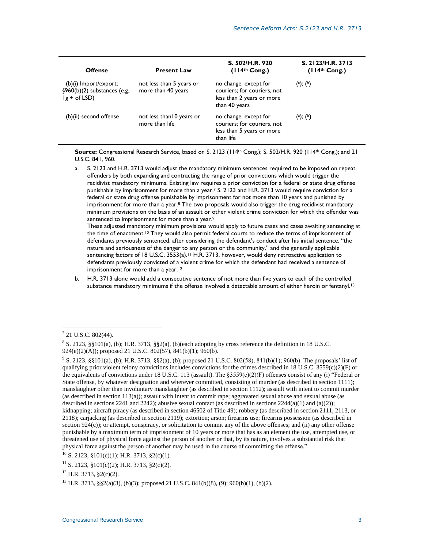| <b>Offense</b>                                                               | <b>Present Law</b>                             | S. 502/H.R. 920<br>(114 <sup>th</sup> Cong.)                                                       | S. 2123/H.R. 3713<br>(114 <sup>th</sup> Cong.) |
|------------------------------------------------------------------------------|------------------------------------------------|----------------------------------------------------------------------------------------------------|------------------------------------------------|
| $(b)(i)$ Import/export;<br>$\S$ 960(b)(2) substances (e.g.,<br>$lg + of LSD$ | not less than 5 years or<br>more than 40 years | no change, except for<br>couriers; for couriers, not<br>less than 2 years or more<br>than 40 years | (a); (b)                                       |
| (b)(ii) second offense                                                       | not less than 10 years or<br>more than life    | no change, except for<br>couriers; for couriers, not<br>less than 5 years or more<br>than life     | (a); (b)                                       |

**Source:** Congressional Research Service, based on S. 2123 (114th Cong.); S. 502/H.R. 920 (114th Cong.); and 21 U.S.C. 841, 960.

<span id="page-5-1"></span>a. S. 2123 and H.R. 3713 would adjust the mandatory minimum sentences required to be imposed on repeat offenders by both expanding and contracting the range of prior convictions which would trigger the recidivist mandatory minimums. Existing law requires a prior conviction for a federal or state drug offense punishable by imprisonment for more than a year.<sup>7</sup> S. 2123 and H.R. 3713 would require conviction for a federal or state drug offense punishable by imprisonment for not more than 10 years and punished by imprisonment for more than a year.<sup>8</sup> The two proposals would also trigger the drug recidivist mandatory minimum provisions on the basis of an assault or other violent crime conviction for which the offender was sentenced to imprisonment for more than a year.<sup>9</sup>

These adjusted mandatory minimum provisions would apply to future cases and cases awaiting sentencing at the time of enactment.<sup>10</sup> They would also permit federal courts to reduce the terms of imprisonment of defendants previously sentenced, after considering the defendant's conduct after his initial sentence, "the nature and seriousness of the danger to any person or the community," and the generally applicable sentencing factors of 18 U.S.C. 3553(a).<sup>11</sup> H.R. 3713, however, would deny retroactive application to defendants previously convicted of a violent crime for which the defendant had received a sentence of imprisonment for more than a year.<sup>12</sup>

<span id="page-5-0"></span>b. H.R. 3713 alone would add a consecutive sentence of not more than five years to each of the controlled substance mandatory minimums if the offense involved a detectable amount of either heroin or fentanyl.<sup>13</sup>

 $7$  21 U.S.C. 802(44).

<sup>8</sup> S. 2123, §§101(a), (b); H.R. 3713, §§2(a), (b)(each adopting by cross reference the definition in 18 U.S.C. 924(e)(2)(A)); proposed 21 U.S.C. 802(57), 841(b)(1); 960(b).

<sup>9</sup> S. 2123, §§101(a), (b); H.R. 3713, §§2(a), (b); proposed 21 U.S.C. 802(58), 841(b)(1); 960(b). The proposals' list of qualifying prior violent felony convictions includes convictions for the crimes described in 18 U.S.C.  $3559(c)(2)(F)$  or the equivalents of convictions under 18 U.S.C. 113 (assault). The §3559(c)(2)(F) offenses consist of any (i) "Federal or State offense, by whatever designation and wherever committed, consisting of murder (as described in section 1111); manslaughter other than involuntary manslaughter (as described in section 1112); assault with intent to commit murder (as described in section 113(a)); assault with intent to commit rape; aggravated sexual abuse and sexual abuse (as described in sections 2241 and 2242); abusive sexual contact (as described in sections  $2244(a)(1)$  and  $(a)(2)$ ); kidnapping; aircraft piracy (as described in section 46502 of Title 49); robbery (as described in section 2111, 2113, or 2118); carjacking (as described in section 2119); extortion; arson; firearms use; firearms possession (as described in section  $924(c)$ ; or attempt, conspiracy, or solicitation to commit any of the above offenses; and (ii) any other offense punishable by a maximum term of imprisonment of 10 years or more that has as an element the use, attempted use, or threatened use of physical force against the person of another or that, by its nature, involves a substantial risk that physical force against the person of another may be used in the course of committing the offense."

 $10$  S. 2123, §101(c)(1); H.R. 3713, §2(c)(1).

 $11$  S. 2123, §101(c)(2); H.R. 3713, §2(c)(2).

<sup>12</sup> H.R. 3713, §2(c)(2).

 $^{13}$  H.R. 3713, §§2(a)(3), (b)(3); proposed 21 U.S.C. 841(b)(8), (9); 960(b)(1), (b)(2).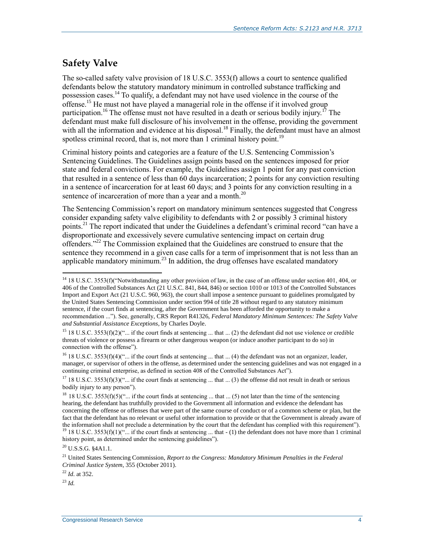## **Safety Valve**

The so-called safety valve provision of 18 U.S.C. 3553(f) allows a court to sentence qualified defendants below the statutory mandatory minimum in controlled substance trafficking and possession cases.<sup>14</sup> To qualify, a defendant may not have used violence in the course of the offense.<sup>15</sup> He must not have played a managerial role in the offense if it involved group participation.<sup>16</sup> The offense must not have resulted in a death or serious bodily injury.<sup>17</sup> The defendant must make full disclosure of his involvement in the offense, providing the government with all the information and evidence at his disposal.<sup>18</sup> Finally, the defendant must have an almost spotless criminal record, that is, not more than  $\overline{1}$  criminal history point.<sup>19</sup>

Criminal history points and categories are a feature of the U.S. Sentencing Commission's Sentencing Guidelines. The Guidelines assign points based on the sentences imposed for prior state and federal convictions. For example, the Guidelines assign 1 point for any past conviction that resulted in a sentence of less than 60 days incarceration; 2 points for any conviction resulting in a sentence of incarceration for at least 60 days; and 3 points for any conviction resulting in a sentence of incarceration of more than a year and a month.<sup>20</sup>

The Sentencing Commission's report on mandatory minimum sentences suggested that Congress consider expanding safety valve eligibility to defendants with 2 or possibly 3 criminal history points.<sup>21</sup> The report indicated that under the Guidelines a defendant's criminal record "can have a disproportionate and excessively severe cumulative sentencing impact on certain drug offenders."<sup>22</sup> The Commission explained that the Guidelines are construed to ensure that the sentence they recommend in a given case calls for a term of imprisonment that is not less than an applicable mandatory minimum.<sup>23</sup> In addition, the drug offenses have escalated mandatory

<sup>15</sup> 18 U.S.C. 3553(f)(2)("... if the court finds at sentencing ... that ... (2) the defendant did not use violence or credible threats of violence or possess a firearm or other dangerous weapon (or induce another participant to do so) in connection with the offense").

 $16$  18 U.S.C. 3553(f)(4)("... if the court finds at sentencing ... that ... (4) the defendant was not an organizer, leader, manager, or supervisor of others in the offense, as determined under the sentencing guidelines and was not engaged in a continuing criminal enterprise, as defined in section 408 of the Controlled Substances Act").

 $^{20}$  U.S.S.G. §4A1.1.

<sup>22</sup> *Id*. at 352.

<sup>23</sup> *Id.*

<sup>&</sup>lt;sup>14</sup> 18 U.S.C. 3553(f)("Notwithstanding any other provision of law, in the case of an offense under section 401, 404, or 406 of the Controlled Substances Act (21 U.S.C. 841, 844, 846) or section 1010 or 1013 of the Controlled Substances Import and Export Act (21 U.S.C. 960, 963), the court shall impose a sentence pursuant to guidelines promulgated by the United States Sentencing Commission under section 994 of title 28 without regard to any statutory minimum sentence, if the court finds at sentencing, after the Government has been afforded the opportunity to make a recommendation ..."). See, generally, CRS Report R41326, *Federal Mandatory Minimum Sentences: The Safety Valve and Substantial Assistance Exceptions*, by Charles Doyle.

<sup>&</sup>lt;sup>17</sup> 18 U.S.C. 3553(f)(3)("... if the court finds at sentencing ... that ... (3) the offense did not result in death or serious bodily injury to any person").

<sup>&</sup>lt;sup>18</sup> 18 U.S.C. 3553(f)(5)("... if the court finds at sentencing ... that ... (5) not later than the time of the sentencing hearing, the defendant has truthfully provided to the Government all information and evidence the defendant has concerning the offense or offenses that were part of the same course of conduct or of a common scheme or plan, but the fact that the defendant has no relevant or useful other information to provide or that the Government is already aware of the information shall not preclude a determination by the court that the defendant has complied with this requirement"). <sup>19</sup> 18 U.S.C. 3553(f)(1)(" $\ldots$  if the court finds at sentencing ... that - (1) the defendant does not have more than 1 criminal history point, as determined under the sentencing guidelines").

<sup>21</sup> United States Sentencing Commission, *Report to the Congress: Mandatory Minimum Penalties in the Federal Criminal Justice System*, 355 (October 2011).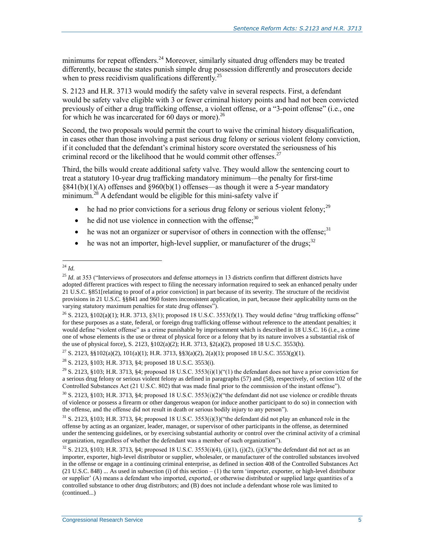minimums for repeat offenders.<sup>24</sup> Moreover, similarly situated drug offenders may be treated differently, because the states punish simple drug possession differently and prosecutors decide when to press recidivism qualifications differently.<sup>25</sup>

S. 2123 and H.R. 3713 would modify the safety valve in several respects. First, a defendant would be safety valve eligible with 3 or fewer criminal history points and had not been convicted previously of either a drug trafficking offense, a violent offense, or a "3-point offense" (i.e., one for which he was incarcerated for  $60$  days or more).<sup>26</sup>

Second, the two proposals would permit the court to waive the criminal history disqualification, in cases other than those involving a past serious drug felony or serious violent felony conviction, if it concluded that the defendant's criminal history score overstated the seriousness of his criminal record or the likelihood that he would commit other offenses.<sup>27</sup>

Third, the bills would create additional safety valve. They would allow the sentencing court to treat a statutory 10-year drug trafficking mandatory minimum—the penalty for first-time §841(b)(1)(A) offenses and §960(b)(1) offenses—as though it were a 5-year mandatory  $minimum<sup>28</sup>$  A defendant would be eligible for this mini-safety valve if

- he had no prior convictions for a serious drug felony or serious violent felony;<sup>29</sup>
- $\bullet$  he did not use violence in connection with the offense;<sup>30</sup>
- $\bullet$  he was not an organizer or supervisor of others in connection with the offense;<sup>31</sup>
- $\bullet$  he was not an importer, high-level supplier, or manufacturer of the drugs;<sup>32</sup>

<sup>28</sup> S. 2123, §103; H.R. 3713, §4; proposed 18 U.S.C. 3553(i).

 $\overline{a}$ <sup>24</sup> *Id.*

<sup>&</sup>lt;sup>25</sup> *Id.* at 353 ("Interviews of prosecutors and defense attorneys in 13 districts confirm that different districts have adopted different practices with respect to filing the necessary information required to seek an enhanced penalty under 21 U.S.C. §851[relating to proof of a prior conviction] in part because of its severity. The structure of the recidivist provisions in 21 U.S.C. §§841 and 960 fosters inconsistent application, in part, because their applicability turns on the varying statutory maximum penalties for state drug offenses").

<sup>&</sup>lt;sup>26</sup> S. 2123, §102(a)(1); H.R. 3713, §3(1); proposed 18 U.S.C. 3553(f)(1). They would define "drug trafficking offense" for these purposes as a state, federal, or foreign drug trafficking offense without reference to the attendant penalties; it would define "violent offense" as a crime punishable by imprisonment which is described in 18 U.S.C. 16 (i.e., a crime one of whose elements is the use or threat of physical force or a felony that by its nature involves a substantial risk of the use of physical force), S. 2123, §102(a)(2); H.R. 3713, §2(a)(2), proposed 18 U.S.C. 3553(h).

<sup>27</sup> S. 2123, §§102(a)(2), 101(a)(1); H.R. 3713, §§3(a)(2), 2(a)(1); proposed 18 U.S.C. 3553(g)(1).

<sup>&</sup>lt;sup>29</sup> S. 2123, §103; H.R. 3713, §4; proposed 18 U.S.C. 3553(i)(1)("(1) the defendant does not have a prior conviction for a serious drug felony or serious violent felony as defined in paragraphs (57) and (58), respectively, of section 102 of the Controlled Substances Act (21 U.S.C. 802) that was made final prior to the commission of the instant offense").

 $30$  S. 2123, §103; H.R. 3713, §4; proposed 18 U.S.C. 3553(i)(2)("the defendant did not use violence or credible threats of violence or possess a firearm or other dangerous weapon (or induce another participant to do so) in connection with the offense, and the offense did not result in death or serious bodily injury to any person").

 $31$  S. 2123, §103; H.R. 3713, §4; proposed 18 U.S.C. 3553(i)(3)("the defendant did not play an enhanced role in the offense by acting as an organizer, leader, manager, or supervisor of other participants in the offense, as determined under the sentencing guidelines, or by exercising substantial authority or control over the criminal activity of a criminal organization, regardless of whether the defendant was a member of such organization").

 $32$  S. 2123, §103; H.R. 3713, §4; proposed 18 U.S.C. 3553(i)(4), (j)(1), (j)(2), (j)(3)("the defendant did not act as an importer, exporter, high-level distributor or supplier, wholesaler, or manufacturer of the controlled substances involved in the offense or engage in a continuing criminal enterprise, as defined in section 408 of the Controlled Substances Act  $(21 \text{ U.S.C. } 848)$  ... As used in subsection (i) of this section  $- (1)$  the term 'importer, exporter, or high-level distributor or supplier' (A) means a defendant who imported, exported, or otherwise distributed or supplied large quantities of a controlled substance to other drug distributors; and (B) does not include a defendant whose role was limited to (continued...)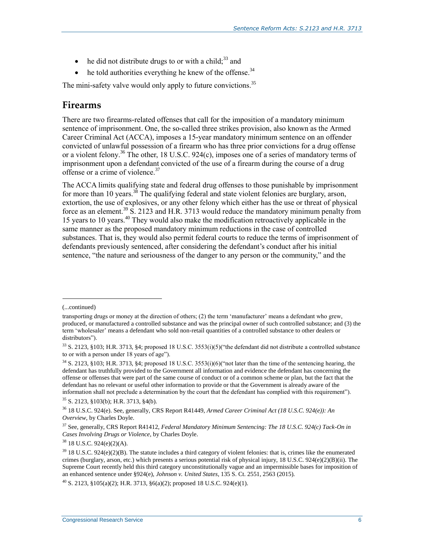- $\bullet$  he did not distribute drugs to or with a child;<sup>33</sup> and
- $\bullet$  he told authorities everything he knew of the offense.<sup>34</sup>

The mini-safety valve would only apply to future convictions.<sup>35</sup>

### **Firearms**

There are two firearms-related offenses that call for the imposition of a mandatory minimum sentence of imprisonment. One, the so-called three strikes provision, also known as the Armed Career Criminal Act (ACCA), imposes a 15-year mandatory minimum sentence on an offender convicted of unlawful possession of a firearm who has three prior convictions for a drug offense or a violent felony.<sup>36</sup> The other, 18 U.S.C. 924(c), imposes one of a series of mandatory terms of imprisonment upon a defendant convicted of the use of a firearm during the course of a drug offense or a crime of violence.<sup>37</sup>

The ACCA limits qualifying state and federal drug offenses to those punishable by imprisonment for more than 10 years.<sup>38</sup> The qualifying federal and state violent felonies are burglary, arson, extortion, the use of explosives, or any other felony which either has the use or threat of physical force as an element.<sup>39</sup> S. 2123 and H.R. 3713 would reduce the mandatory minimum penalty from 15 years to 10 years.<sup>40</sup> They would also make the modification retroactively applicable in the same manner as the proposed mandatory minimum reductions in the case of controlled substances. That is, they would also permit federal courts to reduce the terms of imprisonment of defendants previously sentenced, after considering the defendant's conduct after his initial sentence, "the nature and seriousness of the danger to any person or the community," and the

l

 $38$  18 U.S.C. 924(e)(2)(A).

 $^{40}$  S. 2123, §105(a)(2); H.R. 3713, §6(a)(2); proposed 18 U.S.C. 924(e)(1).

<sup>(...</sup>continued)

transporting drugs or money at the direction of others; (2) the term 'manufacturer' means a defendant who grew, produced, or manufactured a controlled substance and was the principal owner of such controlled substance; and (3) the term 'wholesaler' means a defendant who sold non-retail quantities of a controlled substance to other dealers or distributors").

<sup>33</sup> S. 2123, §103; H.R. 3713, §4; proposed 18 U.S.C. 3553(i)(5)("the defendant did not distribute a controlled substance to or with a person under 18 years of age").

 $34$  S. 2123, §103; H.R. 3713, §4; proposed 18 U.S.C. 3553(i)(6)("not later than the time of the sentencing hearing, the defendant has truthfully provided to the Government all information and evidence the defendant has concerning the offense or offenses that were part of the same course of conduct or of a common scheme or plan, but the fact that the defendant has no relevant or useful other information to provide or that the Government is already aware of the information shall not preclude a determination by the court that the defendant has complied with this requirement").  $35$  S, 2123, 8103(b); H.R. 3713, 84(b).

<sup>36</sup> 18 U.S.C. 924(e). See, generally, CRS Report R41449, *Armed Career Criminal Act (18 U.S.C. 924(e)): An Overview*, by Charles Doyle.

<sup>37</sup> See, generally, CRS Report R41412, *Federal Mandatory Minimum Sentencing: The 18 U.S.C. 924(c) Tack-On in Cases Involving Drugs or Violence*, by Charles Doyle.

 $39$  18 U.S.C. 924(e)(2)(B). The statute includes a third category of violent felonies: that is, crimes like the enumerated crimes (burglary, arson, etc.) which presents a serious potential risk of physical injury, 18 U.S.C.  $924(e)(2)(B)(ii)$ . The Supreme Court recently held this third category unconstitutionally vague and an impermissible bases for imposition of an enhanced sentence under §924(e), *Johnson v. United States*, 135 S. Ct. 2551, 2563 (2015).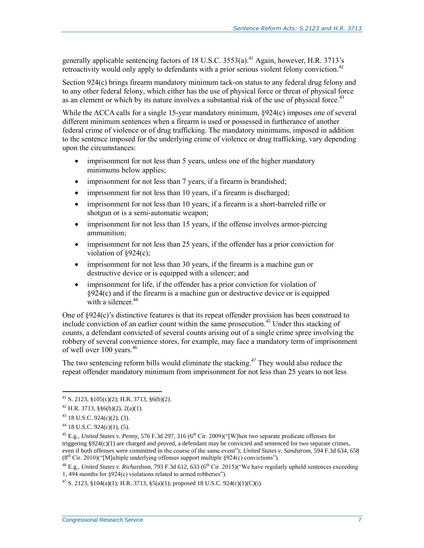generally applicable sentencing factors of 18 U.S.C.  $3553(a)$ .<sup>41</sup> Again, however, H.R. 3713's retroactivity would only apply to defendants with a prior serious violent felony conviction.<sup>42</sup>

Section 924(c) brings firearm mandatory minimum tack-on status to any federal drug felony and to any other federal felony, which either has the use of physical force or threat of physical force as an element or which by its nature involves a substantial risk of the use of physical force.<sup>43</sup>

While the ACCA calls for a single 15-year mandatory minimum,  $\S 924(c)$  imposes one of several different minimum sentences when a firearm is used or possessed in furtherance of another federal crime of violence or of drug trafficking. The mandatory minimums, imposed in addition to the sentence imposed for the underlying crime of violence or drug trafficking, vary depending upon the circumstances:

- imprisonment for not less than 5 years, unless one of the higher mandatory minimums below applies;
- imprisonment for not less than 7 years, if a firearm is brandished;
- imprisonment for not less than 10 years, if a firearm is discharged;
- imprisonment for not less than 10 years, if a firearm is a short-barreled rifle or shotgun or is a semi-automatic weapon;
- imprisonment for not less than 15 years, if the offense involves armor-piercing ammunition;
- imprisonment for not less than 25 years, if the offender has a prior conviction for violation of §924(c);
- imprisonment for not less than 30 years, if the firearm is a machine gun or destructive device or is equipped with a silencer; and
- imprisonment for life, if the offender has a prior conviction for violation of §924(c) and if the firearm is a machine gun or destructive device or is equipped with a silencer.<sup>44</sup>

One of §924(c)'s distinctive features is that its repeat offender provision has been construed to include conviction of an earlier count within the same prosecution.<sup>45</sup> Under this stacking of counts, a defendant convicted of several counts arising out of a single crime spree involving the robbery of several convenience stores, for example, may face a mandatory term of imprisonment of well over  $100$  years.<sup>46</sup>

The two sentencing reform bills would eliminate the stacking.<sup>47</sup> They would also reduce the repeat offender mandatory minimum from imprisonment for not less than 25 years to not less

 $\overline{a}$ 

<sup>47</sup> S. 2123, §104(a)(1); H.R. 3713, §5(a)(1); proposed 18 U.S.C. 924(c)(1)(C)(i).

 $^{41}$  S. 2123, §105(c)(2); H.R. 3713, §6(b)(2).

 $42$  H.R. 3713, §§6(b)(2), 2(a)(1).

 $43$  18 U.S.C. 924(c)(2), (3).

 $44$  18 U.S.C. 924(c)(1), (5).

<sup>&</sup>lt;sup>45</sup> E.g., *United States v. Penny*, 576 F.3d 297, 316 (6<sup>th</sup> Cir. 2009)("[W]hen two separate predicate offenses for triggering §924(c)(1) are charged and proved, a defendant may be convicted and sentenced for two separate crimes, even if both offenses were committed in the course of the same event"); *United States v. Sandstrom*, 594 F.3d 634, 658  $(8<sup>th</sup> Cir. 2010)$ ("[M]ultiple underlying offenses support multiple §924(c) convictions").

<sup>&</sup>lt;sup>46</sup> E.g., *United States v. Richardson*, 793 F.3d 612, 633 (6<sup>th</sup> Cir. 2015)("We have regularly upheld sentences exceeding 1, 494 months for §924(c) violations related to armed robberies").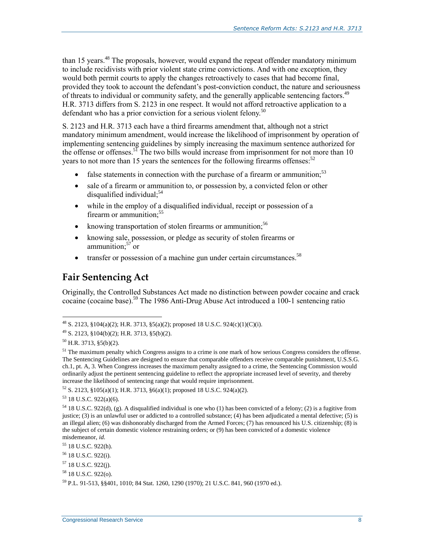than 15 years.<sup>48</sup> The proposals, however, would expand the repeat offender mandatory minimum to include recidivists with prior violent state crime convictions. And with one exception, they would both permit courts to apply the changes retroactively to cases that had become final, provided they took to account the defendant's post-conviction conduct, the nature and seriousness of threats to individual or community safety, and the generally applicable sentencing factors.<sup>49</sup> H.R. 3713 differs from S. 2123 in one respect. It would not afford retroactive application to a defendant who has a prior conviction for a serious violent felony.<sup>50</sup>

S. 2123 and H.R. 3713 each have a third firearms amendment that, although not a strict mandatory minimum amendment, would increase the likelihood of imprisonment by operation of implementing sentencing guidelines by simply increasing the maximum sentence authorized for the offense or offenses.<sup>51</sup> The two bills would increase from imprisonment for not more than 10 years to not more than 15 years the sentences for the following firearms offenses:  $52$ 

- false statements in connection with the purchase of a firearm or ammunition;<sup>53</sup>
- sale of a firearm or ammunition to, or possession by, a convicted felon or other disqualified individual; $54$
- while in the employ of a disqualified individual, receipt or possession of a firearm or ammunition:<sup>55</sup>
- $\bullet$  knowing transportation of stolen firearms or ammunition;<sup>56</sup>
- knowing sale, possession, or pledge as security of stolen firearms or ammunition; $57$  or
- $\bullet$  transfer or possession of a machine gun under certain circumstances.<sup>58</sup>

### **Fair Sentencing Act**

Originally, the Controlled Substances Act made no distinction between powder cocaine and crack cocaine (cocaine base).<sup>59</sup> The 1986 Anti-Drug Abuse Act introduced a 100-1 sentencing ratio

<sup>48</sup> S. 2123, §104(a)(2); H.R. 3713, §5(a)(2); proposed 18 U.S.C. 924(c)(1)(C)(i).

 $^{49}$  S. 2123, §104(b)(2); H.R. 3713, §5(b)(2).

 $50$  H.R. 3713, §5(b)(2).

 $<sup>51</sup>$  The maximum penalty which Congress assigns to a crime is one mark of how serious Congress considers the offense.</sup> The Sentencing Guidelines are designed to ensure that comparable offenders receive comparable punishment, U.S.S.G. ch.1, pt. A, 3. When Congress increases the maximum penalty assigned to a crime, the Sentencing Commission would ordinarily adjust the pertinent sentencing guideline to reflect the appropriate increased level of severity, and thereby increase the likelihood of sentencing range that would require imprisonment.

 $52$  S. 2123, §105(a)(1); H.R. 3713, §6(a)(1); proposed 18 U.S.C. 924(a)(2).

 $53$  18 U.S.C. 922(a)(6).

<sup>&</sup>lt;sup>54</sup> 18 U.S.C. 922(d), (g). A disqualified individual is one who (1) has been convicted of a felony; (2) is a fugitive from justice; (3) is an unlawful user or addicted to a controlled substance; (4) has been adjudicated a mental defective; (5) is an illegal alien; (6) was dishonorably discharged from the Armed Forces; (7) has renounced his U.S. citizenship; (8) is the subject of certain domestic violence restraining orders; or (9) has been convicted of a domestic violence misdemeanor, *id.* 

<sup>55</sup> 18 U.S.C. 922(h).

<sup>56</sup> 18 U.S.C. 922(i).

<sup>57</sup> 18 U.S.C. 922(j).

<sup>58</sup> 18 U.S.C. 922(o).

<sup>59</sup> P.L. 91-513, §§401, 1010; 84 Stat. 1260, 1290 (1970); 21 U.S.C. 841, 960 (1970 ed.).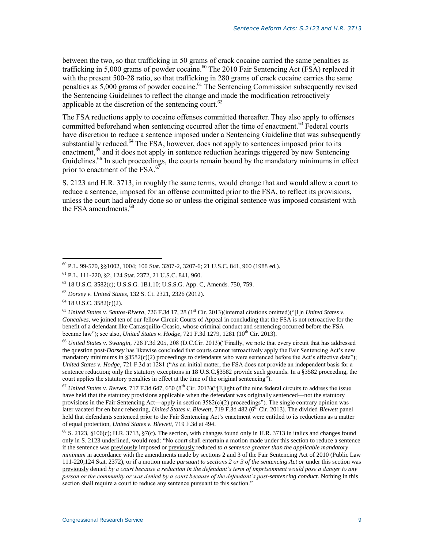between the two, so that trafficking in 50 grams of crack cocaine carried the same penalties as trafficking in 5,000 grams of powder cocaine.<sup>60</sup> The 2010 Fair Sentencing Act (FSA) replaced it with the present 500-28 ratio, so that trafficking in 280 grams of crack cocaine carries the same penalties as 5,000 grams of powder cocaine.<sup>61</sup> The Sentencing Commission subsequently revised the Sentencing Guidelines to reflect the change and made the modification retroactively applicable at the discretion of the sentencing court. $62$ 

The FSA reductions apply to cocaine offenses committed thereafter. They also apply to offenses committed beforehand when sentencing occurred after the time of enactment.<sup>63</sup> Federal courts have discretion to reduce a sentence imposed under a Sentencing Guideline that was subsequently substantially reduced.<sup>64</sup> The FSA, however, does not apply to sentences imposed prior to its enactment,<sup>65</sup> and it does not apply in sentence reduction hearings triggered by new Sentencing Guidelines.<sup>66</sup> In such proceedings, the courts remain bound by the mandatory minimums in effect prior to enactment of the FSA. $67$ 

S. 2123 and H.R. 3713, in roughly the same terms, would change that and would allow a court to reduce a sentence, imposed for an offense committed prior to the FSA, to reflect its provisions, unless the court had already done so or unless the original sentence was imposed consistent with the FSA amendments.<sup>68</sup>

 $\overline{a}$ 

<sup>66</sup> *United States v. Swangin*, 726 F.3d 205, 208 (D.C.Cir. 2013)("Finally, we note that every circuit that has addressed the question post-*Dorsey* has likewise concluded that courts cannot retroactively apply the Fair Sentencing Act's new mandatory minimums in §3582(c)(2) proceedings to defendants who were sentenced before the Act's effective date"); *United States v. Hodge*, 721 F.3d at 1281 ("As an initial matter, the FSA does not provide an independent basis for a sentence reduction; only the statutory exceptions in 18 U.S.C.§3582 provide such grounds. In a §3582 proceeding, the court applies the statutory penalties in effect at the time of the original sentencing").

 $^{67}$  *United States v. Reeves,* 717 F.3d 647, 650 ( $8^{th}$  Cir. 2013)("[E]ight of the nine federal circuits to address the issue have held that the statutory provisions applicable when the defendant was originally sentenced—not the statutory provisions in the Fair Sentencing Act—apply in section 3582(c)(2) proceedings"). The single contrary opinion was later vacated for en banc rehearing, *United States v. Blewett*, 719 F.3d 482 (6<sup>th</sup> Cir. 2013). The divided *Blewett* panel held that defendants sentenced prior to the Fair Sentencing Act's enactment were entitled to its reductions as a matter of equal protection, *United States v. Blewett*, 719 F.3d at 494.

 $68$  S. 2123, §106(c); H.R. 3713, §7(c). The section, with changes found only in H.R. 3713 in italics and changes found only in S. 2123 underlined, would read: "No court shall entertain a motion made under this section to reduce a sentence if the sentence was previously imposed or previously reduced *to a sentence greater than the applicable mandatory minimum* in accordance with the amendments made by sections 2 and 3 of the Fair Sentencing Act of 2010 (Public Law 111-220;124 Stat. 2372), or if a motion made *pursuant to sections 2 or 3 of the sentencing Act or* under this section was previously denied *by a court because a reduction in the defendant's term of imprisonment would pose a danger to any person or the community or was denied by a court because of the defendant's post-sentencing conduct*. Nothing in this section shall require a court to reduce any sentence pursuant to this section."

<sup>60</sup> P.L. 99-570, §§1002, 1004; 100 Stat. 3207-2, 3207-6; 21 U.S.C. 841, 960 (1988 ed.).

<sup>61</sup> P.L. 111-220, §2, 124 Stat. 2372, 21 U.S.C. 841, 960.

<sup>62</sup> 18 U.S.C. 3582(c); U.S.S.G. 1B1.10; U.S.S.G. App. C, Amends. 750, 759.

<sup>63</sup> *Dorsey v. United States*, 132 S. Ct. 2321, 2326 (2012).

 $64$  18 U.S.C. 3582(c)(2).

<sup>65</sup> *United States v. Santos-Rivera*, 726 F.3d 17, 28 (1st Cir. 2013)(internal citations omitted)("[I]n *United States v. Goncalves*, we joined ten of our fellow Circuit Courts of Appeal in concluding that the FSA is not retroactive for the benefit of a defendant like Carrasquillo-Ocasio, whose criminal conduct and sentencing occurred before the FSA became law"); see also, *United States v. Hodge*, 721 F.3d 1279, 1281 (10<sup>th</sup> Cir. 2013).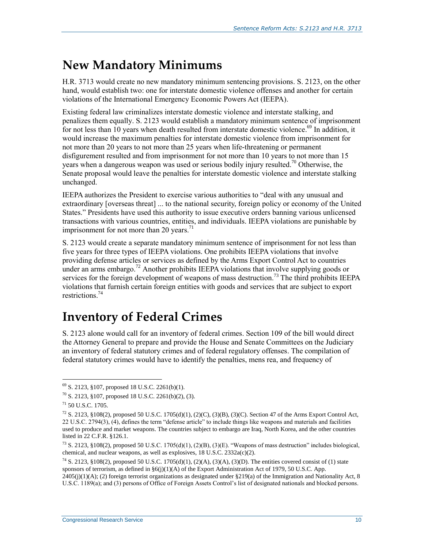## **New Mandatory Minimums**

H.R. 3713 would create no new mandatory minimum sentencing provisions. S. 2123, on the other hand, would establish two: one for interstate domestic violence offenses and another for certain violations of the International Emergency Economic Powers Act (IEEPA).

Existing federal law criminalizes interstate domestic violence and interstate stalking, and penalizes them equally. S. 2123 would establish a mandatory minimum sentence of imprisonment for not less than 10 years when death resulted from interstate domestic violence.<sup>69</sup> In addition, it would increase the maximum penalties for interstate domestic violence from imprisonment for not more than 20 years to not more than 25 years when life-threatening or permanent disfigurement resulted and from imprisonment for not more than 10 years to not more than 15 years when a dangerous weapon was used or serious bodily injury resulted.<sup>70</sup> Otherwise, the Senate proposal would leave the penalties for interstate domestic violence and interstate stalking unchanged.

IEEPA authorizes the President to exercise various authorities to "deal with any unusual and extraordinary [overseas threat] ... to the national security, foreign policy or economy of the United States." Presidents have used this authority to issue executive orders banning various unlicensed transactions with various countries, entities, and individuals. IEEPA violations are punishable by imprisonment for not more than 20 years. $71$ 

S. 2123 would create a separate mandatory minimum sentence of imprisonment for not less than five years for three types of IEEPA violations. One prohibits IEEPA violations that involve providing defense articles or services as defined by the Arms Export Control Act to countries under an arms embargo.<sup>72</sup> Another prohibits IEEPA violations that involve supplying goods or services for the foreign development of weapons of mass destruction.<sup>73</sup> The third prohibits IEEPA violations that furnish certain foreign entities with goods and services that are subject to export restrictions<sup>74</sup>

## **Inventory of Federal Crimes**

S. 2123 alone would call for an inventory of federal crimes. Section 109 of the bill would direct the Attorney General to prepare and provide the House and Senate Committees on the Judiciary an inventory of federal statutory crimes and of federal regulatory offenses. The compilation of federal statutory crimes would have to identify the penalties, mens rea, and frequency of

 $69$  S. 2123, §107, proposed 18 U.S.C. 2261(b)(1).

 $70$  S. 2123, §107, proposed 18 U.S.C. 2261(b)(2), (3).

 $^{71}$  50 U.S.C. 1705.

 $^{72}$  S. 2123, §108(2), proposed 50 U.S.C. 1705(d)(1), (2)(C), (3)(B), (3)(C). Section 47 of the Arms Export Control Act, 22 U.S.C. 2794(3), (4), defines the term "defense article" to include things like weapons and materials and facilities used to produce and market weapons. The countries subject to embargo are Iraq, North Korea, and the other countries listed in 22 C.F.R. §126.1.

 $^{73}$  S. 2123, §108(2), proposed 50 U.S.C. 1705(d)(1), (2)(B), (3)(E). "Weapons of mass destruction" includes biological, chemical, and nuclear weapons, as well as explosives,  $18 \text{ U.S.C. } 2332 \text{a(c)}(2)$ .

<sup>&</sup>lt;sup>74</sup> S. 2123, §108(2), proposed 50 U.S.C. 1705(d)(1), (2)(A), (3)(A), (3)(D). The entities covered consist of (1) state sponsors of terrorism, as defined in §6(j)(1)(A) of the Export Administration Act of 1979, 50 U.S.C. App.  $2405(j)(1)(A)$ ; (2) foreign terrorist organizations as designated under §219(a) of the Immigration and Nationality Act, 8 U.S.C. 1189(a); and (3) persons of Office of Foreign Assets Control's list of designated nationals and blocked persons.